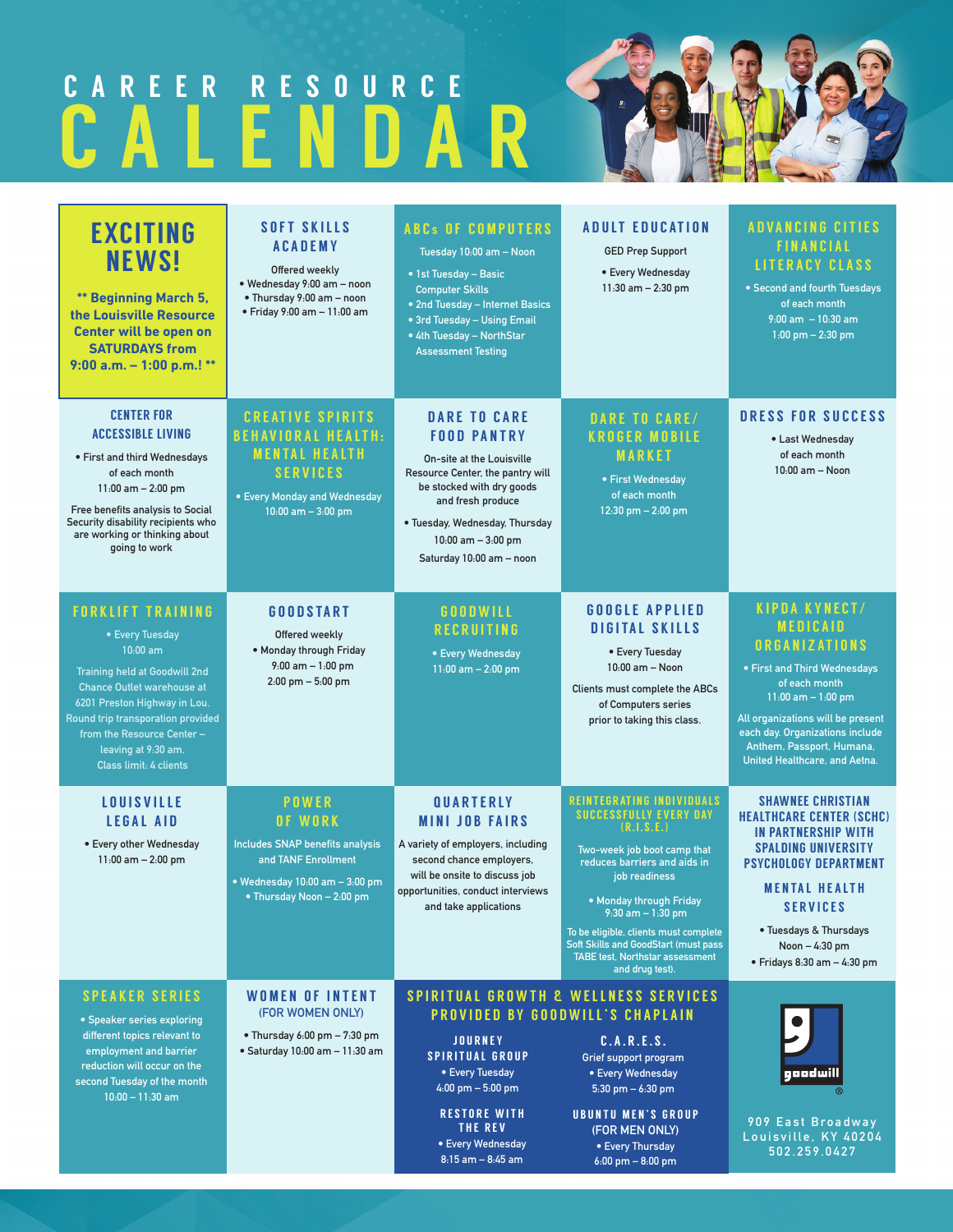# CALENDAR CAREER RESOURCE

| <b>EXCITING</b><br><b>NEWS!</b><br>** Beginning March 5,<br>the Louisville Resource<br>Center will be open on<br><b>SATURDAYS from</b><br>9:00 a.m. $-$ 1:00 p.m.! **                                                                                                                             | <b>SOFT SKILLS</b><br><b>ACADEMY</b><br>Offered weekly<br>· Wednesday 9:00 am - noon<br>• Thursday 9:00 am - noon<br>· Friday 9:00 am - 11:00 am         | <b>ABCs OF COMPUTERS</b><br>Tuesday 10:00 am - Noon<br>• 1st Tuesday - Basic<br><b>Computer Skills</b><br>• 2nd Tuesday - Internet Basics<br>• 3rd Tuesday - Using Email<br>• 4th Tuesday - NorthStar<br><b>Assessment Testing</b>                         | <b>ADULT EDUCATION</b><br><b>GED Prep Support</b><br>• Every Wednesday<br>$11:30$ am $- 2:30$ pm                                                                                                                                                                                                                                                                             | <b>ADVANCING CITIES</b><br><b>FINANCIAL</b><br><b>LITERACY CLASS</b><br>• Second and fourth Tuesdays<br>of each month<br>$9:00$ am $-10:30$ am<br>$1:00$ pm $- 2:30$ pm                                                                                                         |
|---------------------------------------------------------------------------------------------------------------------------------------------------------------------------------------------------------------------------------------------------------------------------------------------------|----------------------------------------------------------------------------------------------------------------------------------------------------------|------------------------------------------------------------------------------------------------------------------------------------------------------------------------------------------------------------------------------------------------------------|------------------------------------------------------------------------------------------------------------------------------------------------------------------------------------------------------------------------------------------------------------------------------------------------------------------------------------------------------------------------------|---------------------------------------------------------------------------------------------------------------------------------------------------------------------------------------------------------------------------------------------------------------------------------|
| <b>CENTER FOR</b><br><b>ACCESSIBLE LIVING</b><br>• First and third Wednesdays<br>of each month<br>$11:00$ am $- 2:00$ pm<br>Free benefits analysis to Social<br>Security disability recipients who<br>are working or thinking about<br>going to work                                              | <b>CREATIVE SPIRITS</b><br><b>BEHAVIORAL HEALTH:</b><br><b>MENTAL HEALTH</b><br><b>SERVICES</b><br>• Every Monday and Wednesday<br>$10:00$ am $-3:00$ pm | <b>DARE TO CARE</b><br><b>FOOD PANTRY</b><br><b>On-site at the Louisville</b><br>Resource Center, the pantry will<br>be stocked with dry goods<br>and fresh produce<br>• Tuesday, Wednesday, Thursday<br>$10:00$ am $-3:00$ pm<br>Saturday 10:00 am - noon | <b>DARE TO CARE/</b><br><b>KROGER MOBILE</b><br><b>MARKET</b><br>• First Wednesday<br>of each month<br>12:30 pm - 2:00 pm                                                                                                                                                                                                                                                    | <b>DRESS FOR SUCCESS</b><br>• Last Wednesday<br>of each month<br>10:00 am - Noon                                                                                                                                                                                                |
| <b>FORKLIFT TRAINING</b><br>• Every Tuesday<br>$10:00$ am<br><b>Training held at Goodwill 2nd</b><br><b>Chance Outlet warehouse at</b><br>6201 Preston Highway in Lou.<br>Round trip transporation provided<br>from the Resource Center -<br>leaving at 9:30 am.<br><b>Class limit: 4 clients</b> | <b>GOODSTART</b><br>Offered weekly<br>. Monday through Friday<br>$9:00$ am $-1:00$ pm<br>2:00 pm - 5:00 pm                                               | <b>GOODWILL</b><br><b>RECRUITING</b><br>• Every Wednesday<br>$11:00$ am $- 2:00$ pm                                                                                                                                                                        | <b>GOOGLE APPLIED</b><br><b>DIGITAL SKILLS</b><br>• Every Tuesday<br>10:00 am - Noon<br>Clients must complete the ABCs<br>of Computers series<br>prior to taking this class.                                                                                                                                                                                                 | <b>KIPDA KYNECT/</b><br><b>MEDICAID</b><br><b>ORGANIZATIONS</b><br>• First and Third Wednesdays<br>of each month<br>$11:00$ am $-1:00$ pm<br>All organizations will be present<br>each day. Organizations include<br>Anthem, Passport, Humana,<br>United Healthcare, and Aetna. |
| <b>LOUISVILLE</b><br><b>LEGAL AID</b><br>• Every other Wednesday<br>$11:00$ am $- 2:00$ pm                                                                                                                                                                                                        | <b>POWER</b><br>OF WORK<br><b>Includes SNAP benefits analysis</b><br>and TANF Enrollment<br>• Wednesday 10:00 am - 3:00 pm<br>• Thursday Noon - 2:00 pm  | QUARTERLY<br><b>MINI JOB FAIRS</b><br>A variety of employers, including<br>second chance employers,<br>will be onsite to discuss job<br>opportunities, conduct interviews<br>and take applications                                                         | <b>REINTEGRATING INDIVIDUALS</b><br><b>SUCCESSFULLY EVERY DAY</b><br>(R, I, S, E, )<br>Two-week job boot camp that<br>reduces barriers and aids in<br>job readiness<br>• Monday through Friday<br>$9.30$ am $-1.30$ pm<br>To be eligible, clients must complete<br><b>Soft Skills and GoodStart (must pass)</b><br><b>TABE test, Northstar assessment</b><br>and drug test). | <b><i>SHAWNEE CHRISTIAN</i></b><br><b>HEALTHCARE CENTER (SCHC)</b><br>IN PARTNERSHIP WITH<br><b>SPALDING UNIVERSITY</b><br><b>PSYCHOLOGY DEPARTMENT</b><br><b>MENTAL HEALTH</b><br><b>SERVICES</b><br>• Tuesdays & Thursdays<br>Noon - 4:30 pm<br>· Fridays 8:30 am - 4:30 pm   |
| <b>SPEAKER SERIES</b><br>• Speaker series exploring<br>different topics relevant to<br>employment and barrier<br>reduction will occur on the<br>second Tuesday of the month<br>$10:00 - 11:30$ am                                                                                                 | WOMEN OF INTENT<br>(FOR WOMEN ONLY)<br>• Thursday $6.00 \text{ pm} - 7.30 \text{ pm}$<br>· Saturday 10:00 am - 11:30 am                                  | <b>JOURNEY</b><br><b>SPIRITUAL GROUP</b><br>• Every Tuesday<br>$4:00$ pm $-5:00$ pm<br><b>RESTORE WITH</b><br>THE REV<br>• Every Wednesday<br>$8:15$ am $- 8:45$ am                                                                                        | <b>SPIRITUAL GROWTH &amp; WELLNESS SERVICES</b><br>PROVIDED BY GOODWILL'S CHAPLAIN<br>C.A.R.E.S.<br>Grief support program<br>• Every Wednesday<br>5:30 pm $-6:30$ pm<br><b>UBUNTU MEN'S GROUP</b><br>(FOR MEN ONLY)<br>• Every Thursday<br>$6:00 \text{ pm} - 8:00 \text{ pm}$                                                                                               | <mark>gaadwill</mark><br>909 East Broadway<br>Louisville, KY 40204<br>502.259.0427                                                                                                                                                                                              |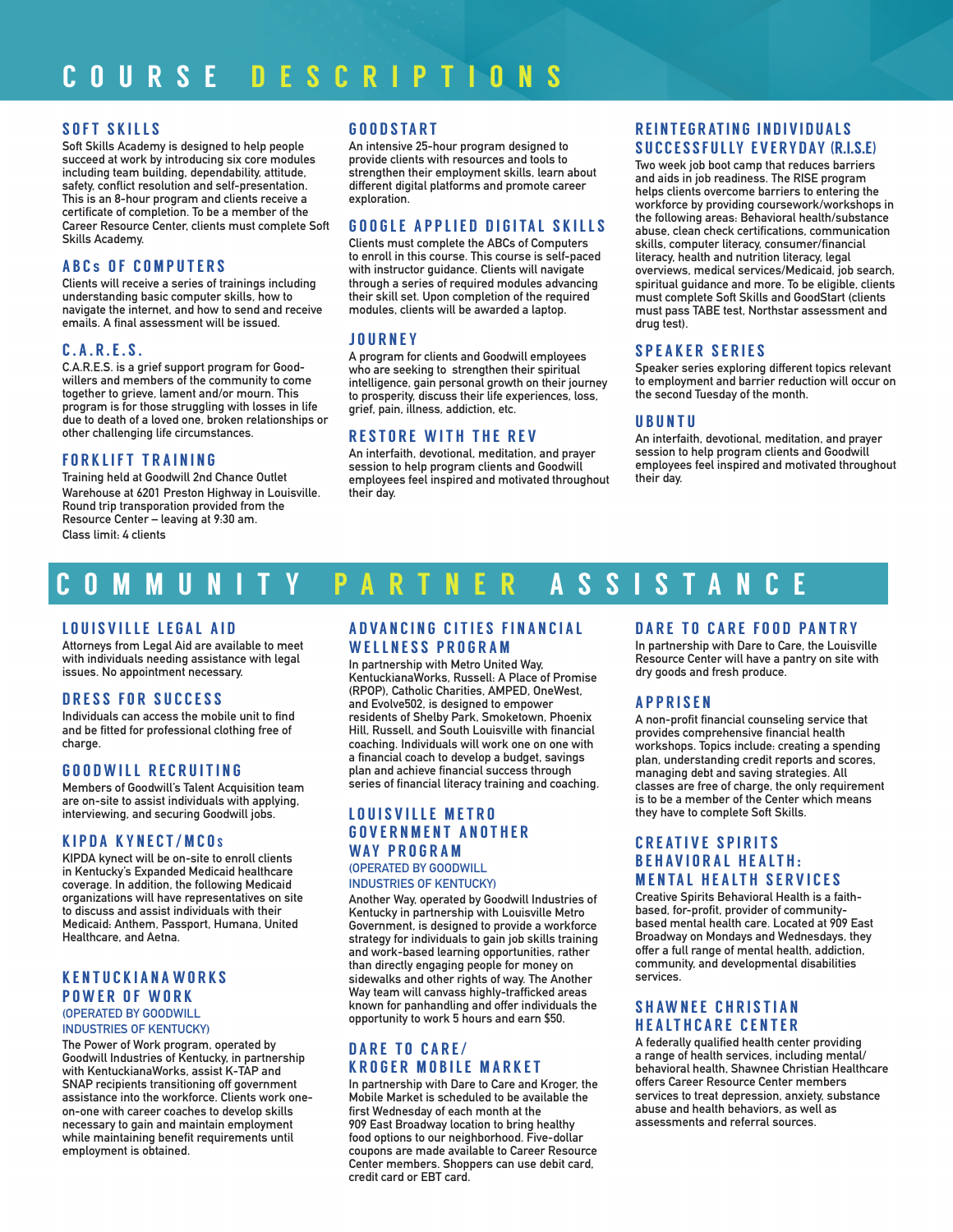#### SOFT SKILLS

Soft Skills Academy is designed to help people succeed at work by introducing six core modules including team building, dependability, attitude, safety, conflict resolution and self-presentation. This is an 8-hour program and clients receive a certificate of completion. To be a member of the Career Resource Center, clients must complete Soft Skills Academy.

#### ABC s OF COMPUTERS

Clients will receive a series of trainings including understanding basic computer skills, how to navigate the internet, and how to send and receive emails. A final assessment will be issued.

#### C.A.R.E.S.

C.A.R.E.S. is a grief support program for Goodwillers and members of the community to come together to grieve, lament and/or mourn. This program is for those struggling with losses in life due to death of a loved one, broken relationships or other challenging life circumstances.

#### FORKLIFT TRAINING

Training held at Goodwill 2nd Chance Outlet Warehouse at 6201 Preston Highway in Louisville. Round trip transporation provided from the Resource Center – leaving at 9:30 am. Class limit: 4 clients

#### G O O D STA RT

An intensive 25-hour program designed to provide clients with resources and tools to strengthen their employment skills, learn about different digital platforms and promote career exploration.

#### GOOGLE APPLIED DIGITAL SKILLS

Clients must complete the ABCs of Computers to enroll in this course. This course is self-paced with instructor guidance. Clients will navigate through a series of required modules advancing their skill set. Upon completion of the required modules, clients will be awarded a laptop.

#### JOURNEY

A program for clients and Goodwill employees who are seeking to strengthen their spiritual intelligence, gain personal growth on their journey to prosperity, discuss their life experiences, loss, grief, pain, illness, addiction, etc.

# RESTORE WITH THE REV

An interfaith, devotional, meditation, and prayer session to help program clients and Goodwill employees feel inspired and motivated throughout their day.

#### REINTEGRATING INDIVIDUALS SUCCESSFULLY EVERYDAY (R.I.S.E)

Two week job boot camp that reduces barriers and aids in job readiness. The RISE program helps clients overcome barriers to entering the workforce by providing coursework/workshops in the following areas: Behavioral health/substance abuse, clean check certifications, communication skills, computer literacy, consumer/financial literacy, health and nutrition literacy, legal overviews, medical services/Medicaid, job search, spiritual guidance and more. To be eligible, clients must complete Soft Skills and GoodStart (clients must pass TABE test, Northstar assessment and drug test).

### SPEAKER SERIES

Speaker series exploring different topics relevant to employment and barrier reduction will occur on the second Tuesday of the month.

#### UBUNTU

An interfaith, devotional, meditation, and prayer session to help program clients and Goodwill employees feel inspired and motivated throughout their day.

# COMMUNITY PARTNER ASS I STA N C E

#### LOUISVILLE LEGAL AID

Attorneys from Legal Aid are available to meet with individuals needing assistance with legal issues. No appointment necessary.

#### DRESS FOR SUCCESS

Individuals can access the mobile unit to find and be fitted for professional clothing free of charge.

#### GOODWILL RECRUITING

Members of Goodwill's Talent Acquisition team are on-site to assist individuals with applying, interviewing, and securing Goodwill jobs.

#### KIPDA KYNECT / MCO <sup>S</sup>

KIPDA kynect will be on-site to enroll clients in Kentucky's Expanded Medicaid healthcare coverage. In addition, the following Medicaid organizations will have representatives on site to discuss and assist individuals with their Medicaid: Anthem, Passport, Humana, United Healthcare, and Aetna.

#### KENTUCKIANAWORKS POWER OF WORK (OPERATED BY GOODWILL INDUSTRIES OF KENTUCKY)

The Power of Work program, operated by Goodwill Industries of Kentucky, in partnership with KentuckianaWorks, assist K-TAP and SNAP recipients transitioning off government assistance into the workforce. Clients work oneon-one with career coaches to develop skills necessary to gain and maintain employment while maintaining benefit requirements until employment is obtained.

#### A D VANCING CITIES FINANCIAL WELLNESS PROGRAM

In partnership with Metro United Way, KentuckianaWorks, Russell: A Place of Promise (RPOP), Catholic Charities, AMPED, OneWest, and Evolve502, is designed to empower residents of Shelby Park, Smoketown, Phoenix Hill, Russell, and South Louisville with financial coaching. Individuals will work one on one with a financial coach to develop a budget, savings plan and achieve financial success through series of financial literacy training and coaching.

#### LOUISVILLE METRO GOVERNMENT ANOTHER WAY PROGRAM (OPERATED BY GOODWILL

INDUSTRIES OF KENTUCKY)

Another Way, operated by Goodwill Industries of Kentucky in partnership with Louisville Metro Government, is designed to provide a workforce strategy for individuals to gain job skills training and work-based learning opportunities, rather than directly engaging people for money on sidewalks and other rights of way. The Another Way team will canvass highly-trafficked areas known for panhandling and offer individuals the opportunity to work 5 hours and earn \$50.

## DARE TO CARE/ KROGER MOBILE MARKET

In partnership with Dare to Care and Kroger, the Mobile Market is scheduled to be available the first Wednesday of each month at the 909 East Broadway location to bring healthy food options to our neighborhood. Five-dollar coupons are made available to Career Resource Center members. Shoppers can use debit card, credit card or EBT card.

#### DARE TO CARE FOOD PANTRY

In partnership with Dare to Care, the Louisville Resource Center will have a pantry on site with dry goods and fresh produce.

#### APPRISEN

A non-profit financial counseling service that provides comprehensive financial health workshops. Topics include: creating a spending plan, understanding credit reports and scores, managing debt and saving strategies. All classes are free of charge, the only requirement is to be a member of the Center which means they have to complete Soft Skills.

#### **CREATIVE SPIRITS** BEHAVIOR AL HEALTH: **MENTAL HEALTH SERVICES**

Creative Spirits Behavioral Health is a faithbased, for-profit, provider of communitybased mental health care. Located at 909 East Broadway on Mondays and Wednesdays, they offer a full range of mental health, addiction, community, and developmental disabilities services.

#### SHAWNEE CHRISTIAN HEALTHCARE CENTER

A federally qualified health center providing a range of health services, including mental/ behavioral health, Shawnee Christian Healthcare offers Career Resource Center members services to treat depression, anxiety, substance abuse and health behaviors, as well as assessments and referral sources.